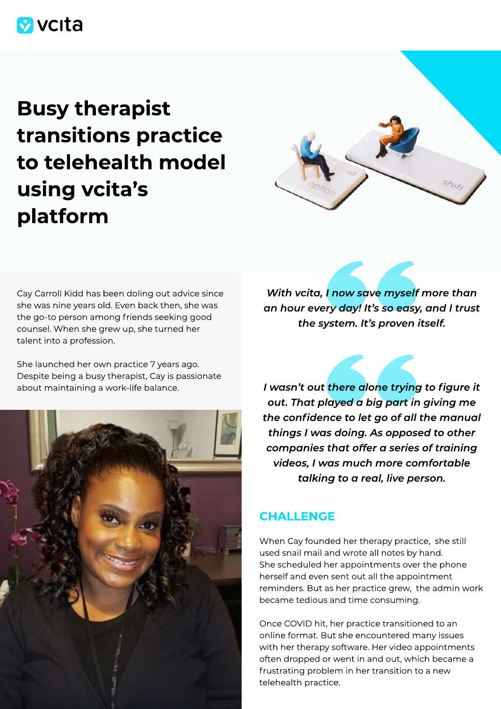## **V** vcita

# Busy therapist transitions practice to telehealth model using vcita's platform



Cay Carroll Kidd has been doling out advice since she was nine years old. Even back then, she was the go-to person among friends seeking good counsel. When she grew up, she turned her talent into a profession.

She launched her own practice 7 years ago. Despite being a busy therapist, Cay is passionate about maintaining a work-life balance.



With vcita, I now save myself more than an hour every day! It's so easy, and I trust the system. It's proven itself.

I wasn't out there alone trying to figure it out. That played a big part in giving me the confidence to let go of all the manual things I was doing. As opposed to other companies that offer a series of training videos, I was much more comfortable talking to a real, live person.

## **CHALLENGE**

When Cay founded her therapy practice, she still used snail mail and wrote all notes by hand. She scheduled her appointments over the phone herself and even sent out all the appointment reminders. But as her practice grew, the admin work became tedious and time consuming.

Once COVID hit, her practice transitioned to an online format. But she encountered many issues with her therapy software. Her video appointments often dropped or went in and out, which became a frustrating problem in her transition to a new telehealth practice.